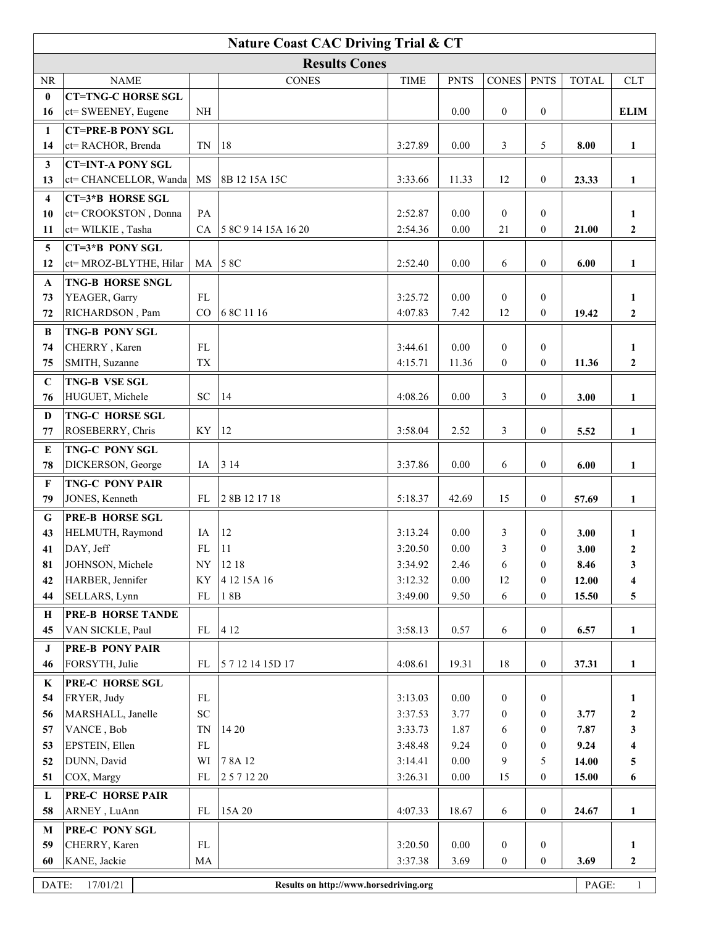| <b>Nature Coast CAC Driving Trial &amp; CT</b> |                                                                                      |                |                     |                    |              |                       |                                  |               |                  |  |
|------------------------------------------------|--------------------------------------------------------------------------------------|----------------|---------------------|--------------------|--------------|-----------------------|----------------------------------|---------------|------------------|--|
| <b>Results Cones</b>                           |                                                                                      |                |                     |                    |              |                       |                                  |               |                  |  |
| <b>NR</b>                                      | <b>NAME</b>                                                                          |                | <b>CONES</b>        | <b>TIME</b>        | <b>PNTS</b>  | <b>CONES</b>          | <b>PNTS</b>                      | <b>TOTAL</b>  | <b>CLT</b>       |  |
| $\bf{0}$                                       | <b>CT=TNG-C HORSE SGL</b>                                                            |                |                     |                    |              |                       |                                  |               |                  |  |
| 16                                             | ct= SWEENEY, Eugene                                                                  | $\rm NH$       |                     |                    | 0.00         | $\boldsymbol{0}$      | $\overline{0}$                   |               | <b>ELIM</b>      |  |
| 1                                              | <b>CT=PRE-B PONY SGL</b>                                                             |                |                     |                    |              |                       |                                  |               |                  |  |
| 14                                             | ct= RACHOR, Brenda                                                                   | TN             | 18                  | 3:27.89            | 0.00         | 3                     | 5                                | 8.00          | $\mathbf{1}$     |  |
| 3                                              | <b>CT=INT-A PONY SGL</b>                                                             |                |                     |                    |              |                       |                                  |               |                  |  |
| 13                                             | ct= CHANCELLOR, Wanda                                                                | MS             | 8B 12 15A 15C       | 3:33.66            | 11.33        | 12                    | $\overline{0}$                   | 23.33         | $\mathbf{1}$     |  |
| 4                                              | CT=3*B HORSE SGL                                                                     |                |                     |                    |              |                       |                                  |               |                  |  |
| 10                                             | ct= CROOKSTON, Donna                                                                 | PA             |                     | 2:52.87            | 0.00         | $\mathbf{0}$          | $\overline{0}$                   |               | 1                |  |
| 11                                             | ct= WILKIE, Tasha                                                                    | CA             | 5 8C 9 14 15A 16 20 | 2:54.36            | 0.00         | 21                    | $\mathbf{0}$                     | 21.00         | $\mathbf{2}$     |  |
| 5                                              | CT=3*B PONY SGL                                                                      |                |                     |                    |              |                       |                                  |               |                  |  |
| 12                                             | ct= MROZ-BLYTHE, Hilar                                                               | MA             | 58C                 | 2:52.40            | 0.00         | 6                     | $\overline{0}$                   | 6.00          | $\mathbf{1}$     |  |
| A                                              | <b>TNG-B HORSE SNGL</b>                                                              |                |                     |                    |              |                       |                                  |               |                  |  |
| 73                                             | YEAGER, Garry                                                                        | FL             |                     | 3:25.72            | 0.00         | $\mathbf{0}$          | $\overline{0}$                   |               | $\mathbf{1}$     |  |
| 72                                             | RICHARDSON, Pam                                                                      | CO             | 6 8C 11 16          | 4:07.83            | 7.42         | 12                    | $\mathbf{0}$                     | 19.42         | $\boldsymbol{2}$ |  |
| B                                              | <b>TNG-B PONY SGL</b>                                                                |                |                     |                    |              |                       |                                  |               |                  |  |
| 74                                             | CHERRY, Karen                                                                        | <b>FL</b>      |                     | 3:44.61            | 0.00         | $\overline{0}$        | $\overline{0}$                   |               | 1                |  |
| 75                                             | SMITH, Suzanne                                                                       | <b>TX</b>      |                     | 4:15.71            | 11.36        | $\mathbf{0}$          | $\mathbf{0}$                     | 11.36         | $\mathbf{2}$     |  |
| $\mathbf C$                                    | <b>TNG-B VSE SGL</b>                                                                 |                |                     |                    |              |                       |                                  |               |                  |  |
| 76                                             | HUGUET, Michele                                                                      | <b>SC</b>      | 14                  | 4:08.26            | 0.00         | 3                     | $\boldsymbol{0}$                 | 3.00          | $\mathbf{1}$     |  |
| D                                              | TNG-C HORSE SGL                                                                      |                |                     |                    |              |                       |                                  |               |                  |  |
| 77                                             | ROSEBERRY, Chris                                                                     | KY             | 12                  | 3:58.04            | 2.52         | 3                     | $\overline{0}$                   | 5.52          | $\mathbf{1}$     |  |
| E                                              | TNG-C PONY SGL                                                                       |                |                     |                    |              |                       |                                  |               |                  |  |
| 78                                             | DICKERSON, George                                                                    | IA             | 314                 | 3:37.86            | 0.00         | 6                     | $\boldsymbol{0}$                 | 6.00          | $\mathbf{1}$     |  |
| $\mathbf{F}$                                   | <b>TNG-C PONY PAIR</b>                                                               |                |                     |                    |              |                       |                                  |               |                  |  |
| 79                                             | JONES, Kenneth                                                                       | FL             | 28B 121718          | 5:18.37            | 42.69        | 15                    | $\boldsymbol{0}$                 | 57.69         | $\mathbf{1}$     |  |
| G                                              | <b>PRE-B HORSE SGL</b>                                                               |                |                     |                    |              |                       |                                  |               |                  |  |
| 43                                             | HELMUTH, Raymond                                                                     | IA             | 12                  | 3:13.24            | 0.00         | 3                     | $\mathbf{0}$                     | 3.00          | 1                |  |
| 41                                             | DAY, Jeff                                                                            | FL             | 11                  | 3:20.50            | 0.00         | 3                     | $\theta$                         | 3.00          | $\boldsymbol{2}$ |  |
| 81                                             | JOHNSON, Michele                                                                     | ${\rm NY}$     | 12 18               | 3:34.92            | 2.46         | $\sqrt{6}$            | $\boldsymbol{0}$                 | 8.46          | 3                |  |
| 42                                             | HARBER, Jennifer                                                                     | KY             | 4 12 15A 16         | 3:12.32            | $0.00\,$     | 12                    | $\mathbf{0}$                     | 12.00         | 4                |  |
| 44                                             | SELLARS, Lynn                                                                        | FL             | 18B                 | 3:49.00            | 9.50         | $\sqrt{6}$            | $\overline{0}$                   | 15.50         | 5                |  |
| Н                                              | <b>PRE-B HORSE TANDE</b>                                                             |                |                     |                    |              |                       |                                  |               |                  |  |
| 45                                             | VAN SICKLE, Paul                                                                     | FL             | 4 1 2               | 3:58.13            | 0.57         | 6                     | $\overline{0}$                   | 6.57          | $\mathbf{1}$     |  |
| J                                              | PRE-B PONY PAIR                                                                      |                |                     |                    |              |                       |                                  |               |                  |  |
| 46                                             | FORSYTH, Julie                                                                       | ${\rm FL}$     | 5 7 12 14 15D 17    | 4:08.61            | 19.31        | $18\,$                | $\boldsymbol{0}$                 | 37.31         | $\mathbf{1}$     |  |
| K                                              | PRE-C HORSE SGL                                                                      |                |                     |                    |              |                       |                                  |               |                  |  |
| 54                                             | FRYER, Judy                                                                          | FL             |                     | 3:13.03            | 0.00         | $\boldsymbol{0}$      | $\overline{0}$                   |               | 1                |  |
| 56                                             | MARSHALL, Janelle                                                                    | ${\rm SC}$     |                     | 3:37.53            | 3.77         | $\boldsymbol{0}$      | $\mathbf{0}$                     | 3.77          | $\boldsymbol{2}$ |  |
| 57<br>53                                       | VANCE, Bob<br>EPSTEIN, Ellen                                                         | TN<br>$\rm FL$ | 14 20               | 3:33.73<br>3:48.48 | 1.87<br>9.24 | 6<br>$\boldsymbol{0}$ | $\boldsymbol{0}$<br>$\mathbf{0}$ | 7.87          | 3                |  |
| 52                                             | DUNN, David                                                                          | WI             | 78A 12              | 3:14.41            | $0.00\,$     | 9                     | 5                                | 9.24<br>14.00 | 4                |  |
| 51                                             | COX, Margy                                                                           | FL             | 2 5 7 12 20         | 3:26.31            | $0.00\,$     | 15                    | $\boldsymbol{0}$                 | 15.00         | 5<br>6           |  |
|                                                | PRE-C HORSE PAIR                                                                     |                |                     |                    |              |                       |                                  |               |                  |  |
| L<br>58                                        | ARNEY, LuAnn                                                                         | ${\rm FL}$     | 15A 20              | 4:07.33            | 18.67        | 6                     | $\boldsymbol{0}$                 | 24.67         | $\mathbf{1}$     |  |
| M                                              | PRE-C PONY SGL                                                                       |                |                     |                    |              |                       |                                  |               |                  |  |
| 59                                             | CHERRY, Karen                                                                        | ${\rm FL}$     |                     | 3:20.50            | 0.00         | $\boldsymbol{0}$      | $\boldsymbol{0}$                 |               | $\mathbf{1}$     |  |
| 60                                             | KANE, Jackie                                                                         | MA             |                     | 3:37.38            | 3.69         | $\boldsymbol{0}$      | $\boldsymbol{0}$                 | 3.69          | $\boldsymbol{2}$ |  |
|                                                |                                                                                      |                |                     |                    |              |                       |                                  |               |                  |  |
|                                                | DATE:<br>17/01/21<br>$\mathbf{1}$<br>PAGE:<br>Results on http://www.horsedriving.org |                |                     |                    |              |                       |                                  |               |                  |  |